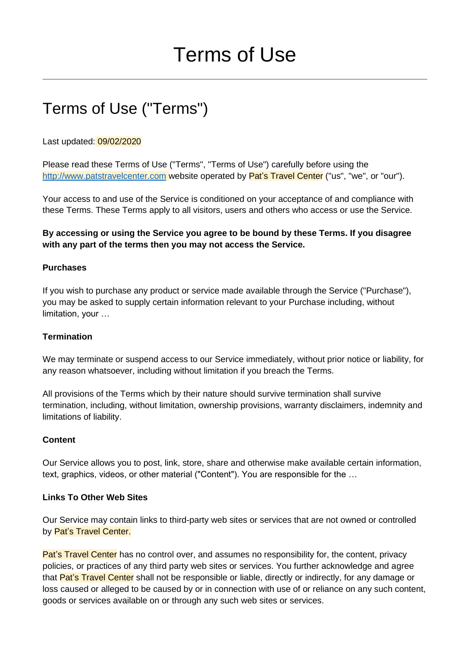# Terms of Use ("Terms")

## Last updated: 09/02/2020

Please read these Terms of Use ("Terms", "Terms of Use") carefully before using the [http://www.patstravelcenter.com](http://www.patstravelcenter.com/) website operated by Pat's Travel Center ("us", "we", or "our").

Your access to and use of the Service is conditioned on your acceptance of and compliance with these Terms. These Terms apply to all visitors, users and others who access or use the Service.

# **By accessing or using the Service you agree to be bound by these Terms. If you disagree with any part of the terms then you may not access the Service.**

## **Purchases**

If you wish to purchase any product or service made available through the Service ("Purchase"), you may be asked to supply certain information relevant to your Purchase including, without limitation, your …

## **Termination**

We may terminate or suspend access to our Service immediately, without prior notice or liability, for any reason whatsoever, including without limitation if you breach the Terms.

All provisions of the Terms which by their nature should survive termination shall survive termination, including, without limitation, ownership provisions, warranty disclaimers, indemnity and limitations of liability.

#### **Content**

Our Service allows you to post, link, store, share and otherwise make available certain information, text, graphics, videos, or other material ("Content"). You are responsible for the …

#### **Links To Other Web Sites**

Our Service may contain links to third-party web sites or services that are not owned or controlled by Pat's Travel Center.

Pat's Travel Center has no control over, and assumes no responsibility for, the content, privacy policies, or practices of any third party web sites or services. You further acknowledge and agree that Pat's Travel Center shall not be responsible or liable, directly or indirectly, for any damage or loss caused or alleged to be caused by or in connection with use of or reliance on any such content, goods or services available on or through any such web sites or services.